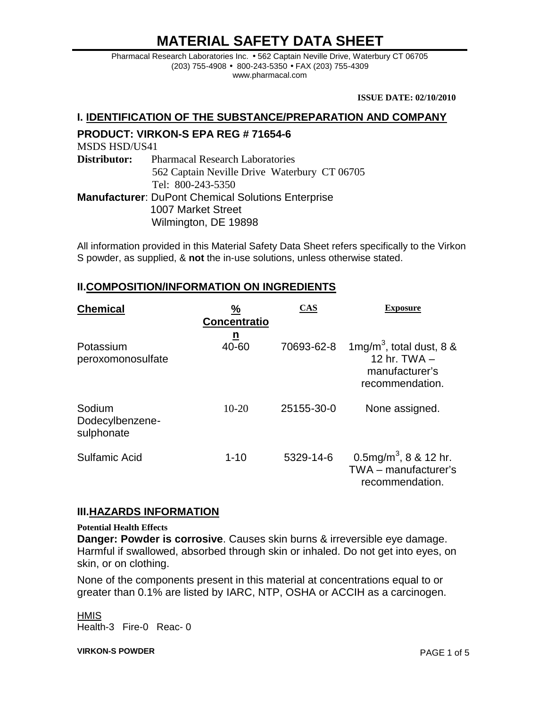Pharmacal Research Laboratories Inc. • 562 Captain Neville Drive, Waterbury CT 06705 (203) 755-4908 • 800-243-5350 • FAX (203) 755-4309 www.pharmacal.com

**ISSUE DATE: 02/10/2010**

#### **I. IDENTIFICATION OF THE SUBSTANCE/PREPARATION AND COMPANY**

## **PRODUCT: VIRKON-S EPA REG # 71654-6**

MSDS HSD/US41

**Distributor:** Pharmacal Research Laboratories 562 Captain Neville Drive Waterbury CT 06705 Tel: 800-243-5350 **Manufacturer**: DuPont Chemical Solutions Enterprise

 1007 Market Street Wilmington, DE 19898

All information provided in this Material Safety Data Sheet refers specifically to the Virkon S powder, as supplied, & **not** the in-use solutions, unless otherwise stated.

### **II.COMPOSITION/INFORMATION ON INGREDIENTS**

| <b>Chemical</b>                         | ℅<br><b>Concentratio</b> | <b>CAS</b> | <b>Exposure</b>                                                                                |
|-----------------------------------------|--------------------------|------------|------------------------------------------------------------------------------------------------|
| Potassium<br>peroxomonosulfate          | <u>n</u><br>40-60        | 70693-62-8 | 1mg/m <sup>3</sup> , total dust, 8 $\&$<br>12 hr. $TWA -$<br>manufacturer's<br>recommendation. |
| Sodium<br>Dodecylbenzene-<br>sulphonate | $10-20$                  | 25155-30-0 | None assigned.                                                                                 |
| Sulfamic Acid                           | $1 - 10$                 | 5329-14-6  | 0.5mg/m <sup>3</sup> , 8 & 12 hr.<br>TWA - manufacturer's<br>recommendation.                   |

#### **III.HAZARDS INFORMATION**

#### **Potential Health Effects**

**Danger: Powder is corrosive**. Causes skin burns & irreversible eye damage. Harmful if swallowed, absorbed through skin or inhaled. Do not get into eyes, on skin, or on clothing.

None of the components present in this material at concentrations equal to or greater than 0.1% are listed by IARC, NTP, OSHA or ACCIH as a carcinogen.

**HMIS** Health-3 Fire-0 Reac- 0

**VIRKON-S POWDER** PAGE 1 of 5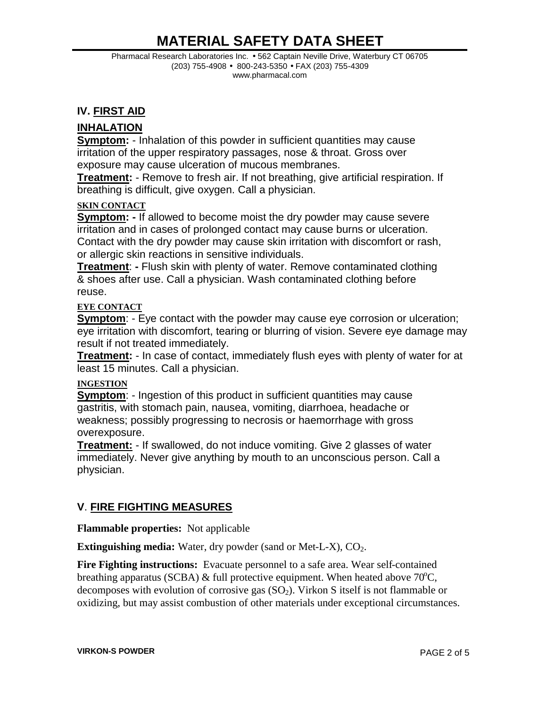Pharmacal Research Laboratories Inc. • 562 Captain Neville Drive, Waterbury CT 06705 (203) 755-4908 • 800-243-5350 • FAX (203) 755-4309 www.pharmacal.com

### **IV. FIRST AID**

### **INHALATION**

**Symptom:** - Inhalation of this powder in sufficient quantities may cause irritation of the upper respiratory passages, nose & throat. Gross over exposure may cause ulceration of mucous membranes.

**Treatment:** - Remove to fresh air. If not breathing, give artificial respiration. If breathing is difficult, give oxygen. Call a physician.

#### **SKIN CONTACT**

**Symptom: -** If allowed to become moist the dry powder may cause severe irritation and in cases of prolonged contact may cause burns or ulceration. Contact with the dry powder may cause skin irritation with discomfort or rash, or allergic skin reactions in sensitive individuals.

**Treatment**: **-** Flush skin with plenty of water. Remove contaminated clothing & shoes after use. Call a physician. Wash contaminated clothing before reuse.

#### **EYE CONTACT**

**Symptom:** - Eye contact with the powder may cause eye corrosion or ulceration; eye irritation with discomfort, tearing or blurring of vision. Severe eye damage may result if not treated immediately.

**Treatment:** - In case of contact, immediately flush eyes with plenty of water for at least 15 minutes. Call a physician.

#### **INGESTION**

**Symptom**: - Ingestion of this product in sufficient quantities may cause gastritis, with stomach pain, nausea, vomiting, diarrhoea, headache or weakness; possibly progressing to necrosis or haemorrhage with gross overexposure.

**Treatment:** - If swallowed, do not induce vomiting. Give 2 glasses of water immediately. Never give anything by mouth to an unconscious person. Call a physician.

## **V**. **FIRE FIGHTING MEASURES**

**Flammable properties:** Not applicable

**Extinguishing media:** Water, dry powder (sand or Met-L-X), CO<sub>2</sub>.

**Fire Fighting instructions:** Evacuate personnel to a safe area. Wear self-contained breathing apparatus (SCBA)  $\&$  full protective equipment. When heated above 70°C, decomposes with evolution of corrosive gas  $(SO<sub>2</sub>)$ . Virkon S itself is not flammable or oxidizing, but may assist combustion of other materials under exceptional circumstances.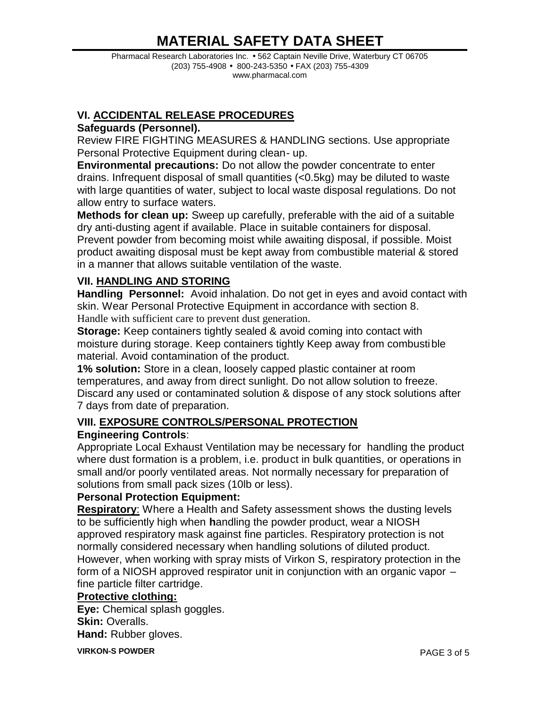Pharmacal Research Laboratories Inc. • 562 Captain Neville Drive, Waterbury CT 06705 (203) 755-4908 • 800-243-5350 • FAX (203) 755-4309 www.pharmacal.com

## **VI. ACCIDENTAL RELEASE PROCEDURES**

## **Safeguards (Personnel).**

Review FIRE FIGHTING MEASURES & HANDLING sections. Use appropriate Personal Protective Equipment during clean- up.

**Environmental precautions:** Do not allow the powder concentrate to enter drains. Infrequent disposal of small quantities (<0.5kg) may be diluted to waste with large quantities of water, subject to local waste disposal regulations. Do not allow entry to surface waters.

**Methods for clean up:** Sweep up carefully, preferable with the aid of a suitable dry anti-dusting agent if available. Place in suitable containers for disposal. Prevent powder from becoming moist while awaiting disposal, if possible. Moist product awaiting disposal must be kept away from combustible material & stored in a manner that allows suitable ventilation of the waste.

## **VII. HANDLING AND STORING**

**Handling Personnel:** Avoid inhalation. Do not get in eyes and avoid contact with skin. Wear Personal Protective Equipment in accordance with section 8. Handle with sufficient care to prevent dust generation.

**Storage:** Keep containers tightly sealed & avoid coming into contact with moisture during storage. Keep containers tightly Keep away from combustible material. Avoid contamination of the product.

**1% solution:** Store in a clean, loosely capped plastic container at room temperatures, and away from direct sunlight. Do not allow solution to freeze. Discard any used or contaminated solution & dispose of any stock solutions after 7 days from date of preparation.

## **VIII. EXPOSURE CONTROLS/PERSONAL PROTECTION**

## **Engineering Controls**:

Appropriate Local Exhaust Ventilation may be necessary for handling the product where dust formation is a problem, i.e. product in bulk quantities, or operations in small and/or poorly ventilated areas. Not normally necessary for preparation of solutions from small pack sizes (10lb or less).

## **Personal Protection Equipment:**

**Respiratory**: Where a Health and Safety assessment shows the dusting levels to be sufficiently high when **h**andling the powder product, wear a NIOSH approved respiratory mask against fine particles. Respiratory protection is not normally considered necessary when handling solutions of diluted product. However, when working with spray mists of Virkon S, respiratory protection in the form of a NIOSH approved respirator unit in conjunction with an organic vapor – fine particle filter cartridge.

## **Protective clothing:**

**Eye:** Chemical splash goggles. **Skin:** Overalls. **Hand:** Rubber gloves.

**VIRKON-S POWDER** PAGE 3 of 5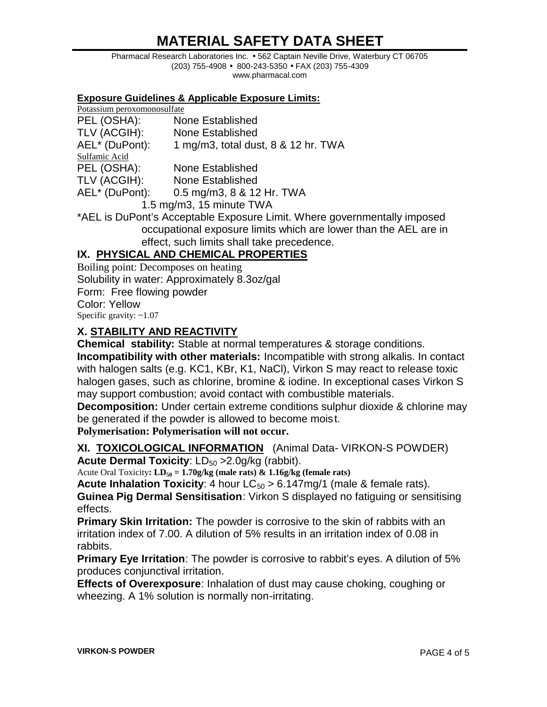Pharmacal Research Laboratories Inc. • 562 Captain Neville Drive, Waterbury CT 06705 (203) 755-4908 • 800-243-5350 • FAX (203) 755-4309 www.pharmacal.com

#### **Exposure Guidelines & Applicable Exposure Limits:**

| Potassium peroxomonosulfate |                                     |  |  |
|-----------------------------|-------------------------------------|--|--|
| PEL (OSHA):                 | <b>None Established</b>             |  |  |
| TLV (ACGIH):                | <b>None Established</b>             |  |  |
| AEL* (DuPont):              | 1 mg/m3, total dust, 8 & 12 hr. TWA |  |  |
| Sulfamic Acid               |                                     |  |  |
| PEL (OSHA):                 | None Established                    |  |  |
| TLV (ACGIH):                | <b>None Established</b>             |  |  |
| AEL* (DuPont):              | 0.5 mg/m3, 8 & 12 Hr. TWA           |  |  |
| 1.5 mg/m3, 15 minute TWA    |                                     |  |  |

\*AEL is DuPont's Acceptable Exposure Limit. Where governmentally imposed occupational exposure limits which are lower than the AEL are in effect, such limits shall take precedence.

## **IX. PHYSICAL AND CHEMICAL PROPERTIES**

Boiling point: Decomposes on heating Solubility in water: Approximately 8.3oz/gal Form: Free flowing powder Color: Yellow Specific gravity:  $~1.07$ 

## **X. STABILITY AND REACTIVITY**

**Chemical stability:** Stable at normal temperatures & storage conditions. **Incompatibility with other materials:** Incompatible with strong alkalis. In contact with halogen salts (e.g. KC1, KBr, K1, NaCl), Virkon S may react to release toxic halogen gases, such as chlorine, bromine & iodine. In exceptional cases Virkon S may support combustion; avoid contact with combustible materials.

**Decomposition:** Under certain extreme conditions sulphur dioxide & chlorine may be generated if the powder is allowed to become moist.

**Polymerisation: Polymerisation will not occur.**

**XI. TOXICOLOGICAL INFORMATION** (Animal Data- VIRKON-S POWDER) **Acute Dermal Toxicity: LD<sub>50</sub> > 2.0g/kg (rabbit).** 

Acute Oral Toxicity:  $LD_{50} = 1.70g/kg$  (male rats)  $\& 1.16g/kg$  (female rats)

**Acute Inhalation Toxicity**: 4 hour  $LC_{50} > 6.147$  mg/1 (male & female rats). **Guinea Pig Dermal Sensitisation**: Virkon S displayed no fatiguing or sensitising effects.

**Primary Skin Irritation:** The powder is corrosive to the skin of rabbits with an irritation index of 7.00. A dilution of 5% results in an irritation index of 0.08 in rabbits.

**Primary Eye Irritation**: The powder is corrosive to rabbit's eyes. A dilution of 5% produces conjunctival irritation.

**Effects of Overexposure**: Inhalation of dust may cause choking, coughing or wheezing. A 1% solution is normally non-irritating.